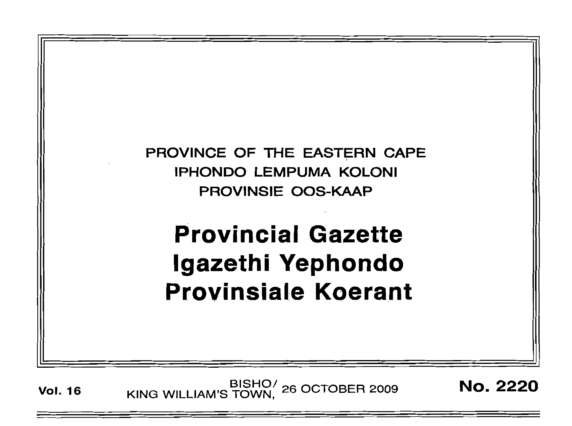

Vol. 16 BISHO<sup>/</sup> 26 OCTOBER 2009 **No. 2220**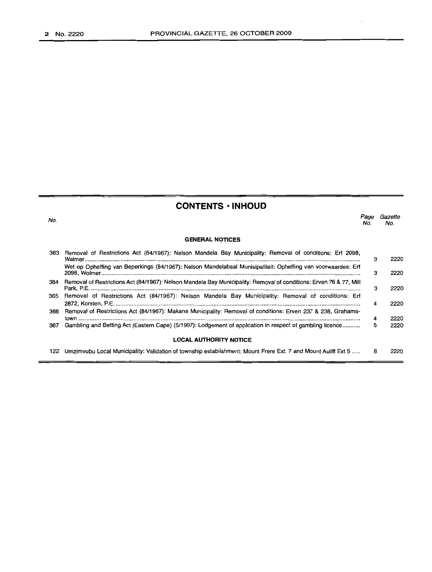### **CONTENTS • INHOUD**

No. **GENERAL NOTICES** *Page Gazette* No. No. 363 Removal of Restrictions Act (84/1967): Nelson Mandela Bay Municipality: Removal of conditions: Erf 2098, Walmer . Wet op Opheffing van Beperkings (84/1967): Nelson Mandelabaai Munisipaliteit: Opheffing van voorwaardes: Erf 2098, Wolmer . 364 Removal of Restrictions Act (84/1967): Nelson Mandela Bay Municipality: Removal of conditions: Erven 76 & 77, Mill Park, P.E. . 365 Removal of Restrictions Act (84/1967): Nelson Mandela Bay Municipality: Removal of conditions: Erf 2872, Korsten, P.E . 366 Removal of Restrictions Act (84/1967): Makana Municipality: Removal of conditions: Erven 237 & 238, Graharnstown . 367 Gambling and Betting Act (Eastern Cape) (5/1997): Lodgement of application in respect of gambling licence . **LOCAL AUTHORITY NOTICE** 3 3 3 4 4 5 2220 2220 2220 2220 2220 2220

122 Umzimvubu Local Municipality: Validation of township establishment: Mount Frere Ext. 7 and Mount Auliff Ext 5 ..... 8 2220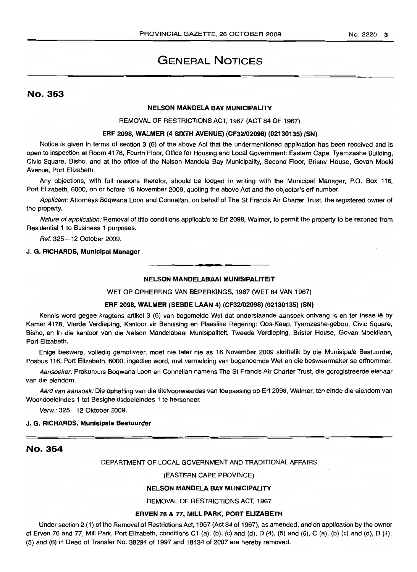#### No.2220 3

# GENERAL NOTICES

### No. 363

#### NELSON MANDELA BAY MUNICIPALITY

REMOVAL OF RESTRICTIONS ACT, 1967 (ACT 84 OF 1967)

#### ERF 2098, WALMER (4 SIXTH AVENUE) (CF32102098) (02130135) (SN)

Notice is given in terms of section 3 (6) of the above Act that the undermentioned application has been received and is open to inspection at Room 4178, Fourth Floor, Office for Housing and Local Government: Eastern Cape, Tyamzashe Building, Civic Square, Bisho, and at the office of the Nelson Mandela Bay Municipality, Second Floor, Brister House, Govan Mbeki Avenue, Port Elizabeth.

Any objections, with full reasons therefor, should be lodged in writing with the Municipal Manager, P.O. Box 116, Port Elizabeth, 6000, on or before 16 November 2009, quoting the above Act and the objector's erf number.

Applicant: Attorneys Boqwana Loon and Connellan, on behalf of The St Francis Air Charter Trust, the registered owner of the property.

Nature of application: Removal of title conditions applicable to Erf 2098, Walmer, to permit the property to be rezoned from Residential 1 to Business 1 purposes.

Ref: 325-12 October 2009.

#### J. G. RICHARDS, Municipal Manager

## **•** NELSON MANDELABAAI MUNISIPALITEIT

WET OP OPHEFFING VAN BEPERKINGS, 1967 (WET 84 VAN 1967)

#### ERF 2098, WALMER (SESDE LAAN 4) (CF32102098) (02130135) (SN)

Kennis word gegee kragtens artikel 3 (6) van bogemelde Wet dat onderstaande aansoek ontvang is en ter insae lê by Kamer 4178, Vierde Verdieping, Kantoor vir Behuising en Plaaslike Regering: Oos-Kaap, Tyamzashe-gebou, Civic Square, Bisho, en in die kantoor van die Nelson Mandelabaai Munisipaliteit, Tweede Verdieping, Brister House, Govan Mbekilaan, Port Elizabeth.

Enige besware, volledig gemotiveer, moet nie later nie as 16 November 2009 skriftelik by die Munisipale Bestuurder, Posbus 116, Port Elizabeth, 6000, ingedien word, met vermelding van bogenoemde Wet en die beswaarmaker se erfnommer.

Aansoeker: Prokureurs Boqwana Loon en Connellan namens The St Francis Air Charter Trust, die geregistreerde eienaar van die eiendom.

Aard van aansoek: Die opheffing van die titelvoorwaardes van toepassing op Erf 2098, Walmer, ten einde die eiendom van Woondoeleindes 1 tot Besigheidsdoeleindes 1 te hersoneer.

Verw.: 325-12 Oktober 2009.

#### J. G. RICHARDS, Munisipale Bestuurder

### No. 364

#### DEPARTMENT OF LOCAL GOVERNMENT AND TRADITIONAL AFFAIRS

#### (EASTERN CAPE PROVINCE)

#### NELSON MANDELA BAY MUNICIPALITY

REMOVAL OF RESTRICTIONS ACT, 1967

#### ERVEN 76 & 77, MILL PARK, PORT ELIZABETH

Under section 2 (1) of the Removal of Restrictions Act, 1967 (Act 84 of 1967), as amended, and on application by the owner of Erven 76 and 77, Mill Park, Port Elizabeth, conditions C1 (a), (b), (c) and (d), D (4), (5) and (6), C (a), (b) (c) and (d), D (4), (5) and (6) in Deed of Transfer No. 38294 of 1997 and 18434 of 2007 are hereby removed.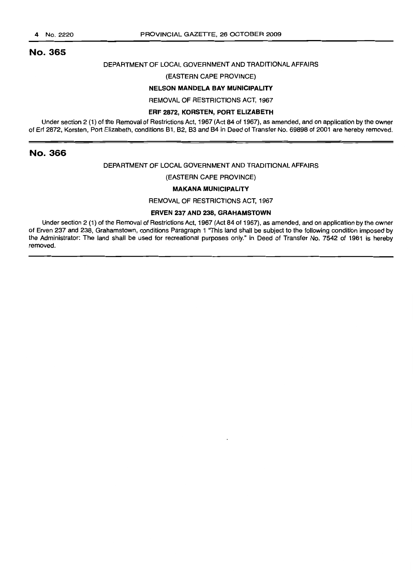### No. 365

#### DEPARTMENT OF LOCAL GOVERNMENT AND TRADITIONAL AFFAIRS

#### (EASTERN CAPE PROVINCE)

#### NELSON MANDELA BAY MUNICIPAL/TV

REMOVAL OF RESTRICTIONS ACT, 1967

#### ERF 2872, KORSTEN, PORT ELIZABETH

Under section 2 (1) of the Removal of Restrictions Act, 1967 (Act 84 of 1967), as amended, and on application by the owner of Erf 2872, Korsten, Port Elizabeth, conditions 81, 82, 83 and 84 in Deed of Transfer No. 69898 of 2001 are hereby removed.

### No. 366

#### DEPARTMENT OF LOCAL GOVERNMENT AND TRADITIONAL AFFAIRS

#### (EASTERN CAPE PROVINCE)

#### MAKANA MUNICIPALITY

REMOVAL OF RESTRICTIONS ACT, 1967

#### ERVEN 237 AND 238, GRAHAMSTOWN

Under section 2 (1) of the Removal of Restrictions Act, 1967 (Act 84 of 1967), as amended, and on application by the owner of Erven 237 and 238, Grahamstown, conditions Paragraph 1 ''This land shall be subject to the following condition imposed by the Administrator: The land shall be used for recreational purposes only." in Deed of Transfer No. 7542 of 1961 is hereby removed.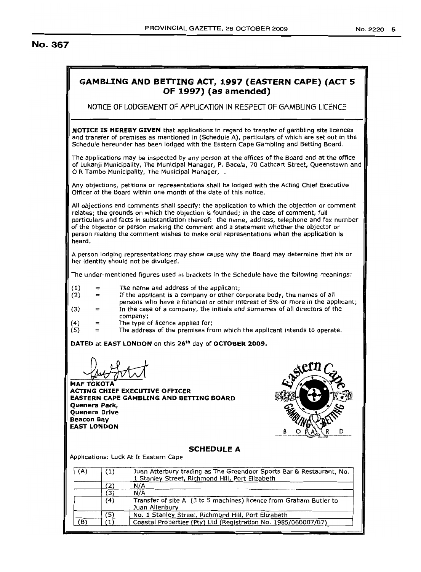### No. 367

### **GAMBLING AND BETTING ACT, 1997 (EAS·rERN CAPE) (ACT 5 OF 1997) (as amended)** NOTICE OF LODGEMENT OF APPLlCATJON IN RESPECT OF GAMBLING LICENCE **NOTICE IS HEREBY GIVEN** that applications in regard to transfer of gambling site licences and transfer of premises as mentioned in (Schedule A), particulars of which are set out in the Schedule hereunder has been lodged with the Eastern Cape Gambling and Betting Board. The applications may be inspected by any person at the offices of the Board and at the office of Lukanji Municipality, The Municipal Manager, P. Bacela, 70 Cathcart Street, Queenstown and o <sup>R</sup> Tambo Municipality, The Municipal Manager, . Any objections, petitions or representations shall be lodged with the Acting Chief Executive Officer of the Board within one month of the date of this notice. All objections and comments shall specify: the application to which the objection or comment relates: the grounds on which the objection is founded; in the case of comment, full particulars and facts in substantiation thereof: the name, address, telephone and fax number of the objector or person making the comment and a statement whether the objector or person making the comment wishes to make oral representations when the application is heard. A person lodging representations may show cause why the Board may determine that his or her identity should not be divulged. The under-mentioned figures used in brackets in the Schedule have the following meanings: (1) The name and address of the applicant; If the applicant is a company or other corporate body, the names of all (2)  $=$ persons who have a financial or other interest of 5% or more in the applicant: (3) In the case of a company, the initials and surnames of all directors of the company; (4) The type of licence applied for; (5) <sup>=</sup> The address of the premises from which the applicant intends to operate. = **DATED** at **EAST LONDON** on this 26<sup>th</sup> day of **OCTOBER 2009. MAF TOKOTA ACTING CHIEF EXECUTIVE OFFICER EASTERN CAPE GAMBLING AND BEITING BOARD Quenera Park, Quenera Drive Beacon Bay EAST LONDON SCHEDULE A** Applications: Luck At It Eastern Cape (A) (1) Juan Atterbury trading as The Greendoor Sports Bar & Restaurant, No. 1 Stanley Street, Richmond Hill, Port Elizabeth (2) N/A ~"""'-'-"'.\_.  $\begin{array}{c|c}\n(3) & N/A \\
(4) & \text{Tran}\n\end{array}$ (4) Transfer of site A (3 to 5 machines) licence from Graham Butler to

Juan Allenburv

(5) No. 1 Stanley Street, Richmond Hill, Port Elizabeth<br>(1) Coastal Properties (Pty) Ltd (Registration No. 1985 (B) (1) Coastal Properties (Pty) Ltd (Registration No. 1985/060007/07)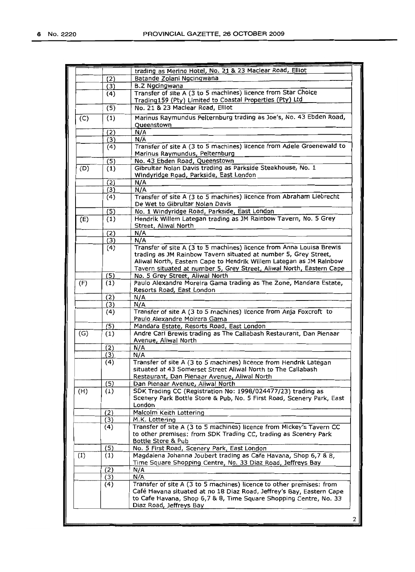|                  |     | trading as Merino Hotel, No. 21 & 23 Maclear Road, Elliot                                    |
|------------------|-----|----------------------------------------------------------------------------------------------|
|                  | (2) | Batande Zolani Ngcingwana                                                                    |
|                  | (3) | <b>B.Z Ngcingwana</b>                                                                        |
|                  | (4) | Transfer of site A (3 to 5 machines) licence from Star Choice                                |
|                  |     | Trading159 (Pty) Limited to Coastal Properties (Pty) Ltd                                     |
|                  | (5) | No. 21 & 23 Maclear Road, Elliot                                                             |
|                  |     |                                                                                              |
| (C)              | (1) | Marinus Raymundus Pelternburg trading as Joe's, No. 43 Ebden Road,                           |
|                  |     | Queenstown                                                                                   |
|                  | (2) | N/A                                                                                          |
|                  | (3) | N/A                                                                                          |
|                  | (4) | Transfer of site A (3 to 5 machines) licence from Adele Groenewald to                        |
|                  |     | Marinus Raymundus, Pelternburg                                                               |
|                  | (5) | No. 43 Ebden Road, Queenstown                                                                |
| (D)              | (1) | Gibrultar Nolan Davis trading as Parkside Steakhouse, No. 1                                  |
|                  |     | Windyridge Road, Parkside, East London                                                       |
|                  | (2) | N/A                                                                                          |
|                  |     |                                                                                              |
|                  | (3) | N/A                                                                                          |
|                  | (4) | Transfer of site A (3 to 5 machines) licence from Abraham Liebrecht                          |
|                  |     | De Wet to Gibrultar Nolan Davis                                                              |
|                  | (5) | No. 1 Windyridge Road, Parkside, East London                                                 |
| (E)              | (1) | Hendrik Willem Lategan trading as JM Rainbow Tavern, No. 5 Grey                              |
|                  |     | Street, Aliwal North                                                                         |
|                  | (2) | N/A                                                                                          |
|                  | (3) | N/A                                                                                          |
|                  | (4) | Transfer of site A (3 to 5 machines) licence from Anna Louisa Brewis                         |
|                  |     | trading as JM Rainbow Tavern situated at number 5, Grey Street,                              |
|                  |     | Aliwal North, Eastern Cape to Hendrik Willem Lategan as JM Rainbow                           |
|                  |     | Tavern situated at number 5, Grey Street, Aliwal North, Eastern Cape                         |
|                  |     |                                                                                              |
|                  | (5) | No. 5 Grey Street, Aliwal North                                                              |
| (F)              | (1) | Paulo Alexandre Moreira Gama trading as The Zone, Mandara Estate,                            |
|                  |     | Resorts Road, East London                                                                    |
|                  | (2) | N/A                                                                                          |
|                  | (3) | N/A                                                                                          |
|                  | (4) | Transfer of site A (3 to 5 machines) licence from Anja Foxcroft to                           |
|                  |     | Paulo Alexandre Moirera Gama                                                                 |
|                  | (5) | Mandara Estate, Resorts Road, East London                                                    |
| (G)              | (1) | Andre Carl Brewis trading as The Callabash Restaurant, Dan Pienaar                           |
|                  |     | Avenue, Aliwal North                                                                         |
|                  |     |                                                                                              |
|                  | (2) | N/A                                                                                          |
|                  | (3) | N/A                                                                                          |
|                  | (4) | Transfer of site A (3 to 5 machines) licence from Hendrik Lategan                            |
|                  |     | situated at 43 Somerset Street Aliwal North to The Callabash                                 |
|                  |     | Restaurant, Dan Pienaar Avenue, Aliwal North                                                 |
|                  | (5) | Dan Pienaar Avenue, Aliwal North                                                             |
| (H)              | (1) | SDK Trading CC (Registration No: 1998/024477/23) trading as                                  |
|                  |     | Scenery Park Bottle Store & Pub, No. 5 First Road, Scenery Park, East                        |
|                  |     | London                                                                                       |
|                  | (2) | Malcolm Keith Lottering                                                                      |
|                  | (3) | M.K. Lottering                                                                               |
|                  |     | Transfer of site A (3 to 5 machines) licence from Mickey's Tavern CC                         |
|                  | (4) |                                                                                              |
|                  |     | to other premises: from SDK Trading CC, trading as Scenery Park                              |
|                  |     | Bottle Store & Pub                                                                           |
|                  | (5) | No. 5 First Road, Scenery Park, East London                                                  |
| $\left(1\right)$ | (1) | Magdalena Johanna Joubert trading as Cafe Havana, Shop 6,7 & 8,                              |
|                  |     | Time Square Shopping Centre, No. 33 Diaz Road, Jeffreys Bay                                  |
|                  | (2) | N/A                                                                                          |
|                  | (3) | N/A                                                                                          |
|                  | (4) | Transfer of site A (3 to 5 machines) licence to other premises: from                         |
|                  |     | Café Havana situated at no 18 Diaz Road, Jeffrey's Bay, Eastern Cape                         |
|                  |     |                                                                                              |
|                  |     |                                                                                              |
|                  |     | to Cafe Havana, Shop 6,7 & 8, Time Square Shopping Centre, No. 33<br>Diaz Road, Jeffreys Bay |

2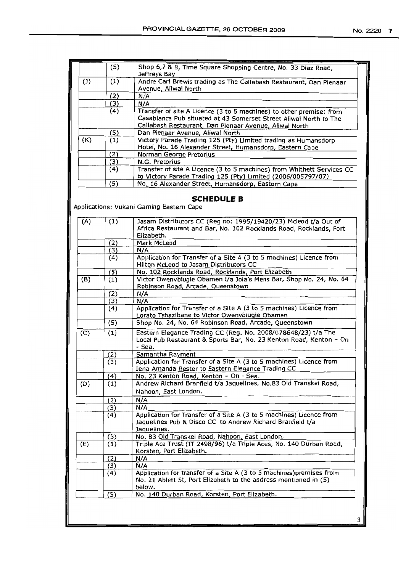|     | (5) | Shop 6,7 & 8, Time Square Shopping Centre, No. 33 Diaz Road,<br>Jeffreys Bay                                                                                                                       |
|-----|-----|----------------------------------------------------------------------------------------------------------------------------------------------------------------------------------------------------|
| (1) | (1) | Andre Carl Brewis trading as The Callabash Restaurant, Dan Pienaar<br>Avenue, Aliwal North                                                                                                         |
|     | (2) | N/A                                                                                                                                                                                                |
|     | (3) | N/A                                                                                                                                                                                                |
|     | (4) | Transfer of site A Licence (3 to 5 machines) to other premise: from<br>Casablanca Pub situated at 43 Somerset Street Aliwal North to The<br>Callabash Restaurant, Dan Pienaar Avenue, Aliwal North |
|     | (5) | Dan Pienaar Avenue, Aliwal North                                                                                                                                                                   |
| (K) | (1) | Victory Parade Trading 125 (Pty) Limited trading as Humansdorp<br>Hotel, No. 16 Alexander Street, Humansdorp, Eastern Cape                                                                         |
|     | (2) | Norman George Pretorius                                                                                                                                                                            |
|     | (3) | N.G. Pretorius                                                                                                                                                                                     |
|     | (4) | Transfer of site A Licence (3 to 5 machines) from Whithett Services CC<br>to Victory Parade Trading 125 (Pty) Limited (2006/005797/07)                                                             |
|     | '5) | No. 16 Alexander Street, Humansdorp, Eastern Cape                                                                                                                                                  |

### **SCHEDULE B**

Applications: Vukani Gaming Eastern Cape

| (A) | (1) | Jasam Distributors CC (Reg no: 1995/19420/23) Mcleod t/a Out of<br>Africa Restaurant and Bar, No. 102 Rocklands Road, Rocklands, Port              |
|-----|-----|----------------------------------------------------------------------------------------------------------------------------------------------------|
|     |     | Elizabeth.                                                                                                                                         |
|     | (2) | Mark McLeod                                                                                                                                        |
|     | (3) | N/A                                                                                                                                                |
|     | (4) | Application for Transfer of a Site A (3 to 5 machines) Licence from<br>Hilton McLeod to Jasam Distributors CC                                      |
|     | (5) | No. 102 Rocklands Road, Rocklands, Port Elizabeth                                                                                                  |
| (B) | (1) | Victor Owenvbiugie Obamen t/a Jola's Mens Bar, Shop No. 24, No. 64<br>Robinson Road, Arcade, Queenstown                                            |
|     | (2) | N/A                                                                                                                                                |
|     | (3) | N/A                                                                                                                                                |
|     | (4) | Application for Transfer of a Site A (3 to 5 machines) Licence from<br>Lorato Tshazibane to Victor Owenvbiugie Obamen                              |
|     | (5) | Shop No. 24, No. 64 Robinson Road, Arcade, Queenstown                                                                                              |
| (C) | (1) | Eastern Elegance Trading CC (Reg. No. 2008/078648/23) t/a The<br>Local Pub Restaurant & Sports Bar, No. 23 Kenton Road, Kenton - On<br>- Sea.      |
|     | (2) | Samantha Rayment                                                                                                                                   |
|     | (3) | Application for Transfer of a Site A (3 to 5 machines) Licence from<br>Iena Amanda Bester to Eastern Elegance Trading CC                           |
|     | (4) | No. 23 Kenton Road, Kenton - On - Sea.                                                                                                             |
| (D) | (1) | Andrew Richard Branfield t/a Jaquelines, No.83 Old Transkei Road,<br>Nahoon, East London.                                                          |
|     |     |                                                                                                                                                    |
|     | (2) | N/A                                                                                                                                                |
|     | (3) | N/A                                                                                                                                                |
|     | (4) | Application for Transfer of a Site A (3 to 5 machines) Licence from<br>Jaquelines Pub & Disco CC to Andrew Richard Branfield t/a<br>Jaquelines.    |
|     | (5) | No. 83 Old Transkei Road, Nahoon, East London.                                                                                                     |
| (E) | (1) | Triple Ace Trust (IT 2498/96) t/a Triple Aces, No. 140 Durban Road,<br>Korsten, Port Elizabeth.                                                    |
|     | (2) | N/A                                                                                                                                                |
|     | (3) | N/A                                                                                                                                                |
|     | (4) | Application for transfer of a Site A (3 to 5 machines) premises from<br>No. 21 Ablett St, Port Elizabeth to the address mentioned in (5)<br>below. |
|     | (5) | No. 140 Durban Road, Korsten, Port Elizabeth.                                                                                                      |
|     |     |                                                                                                                                                    |